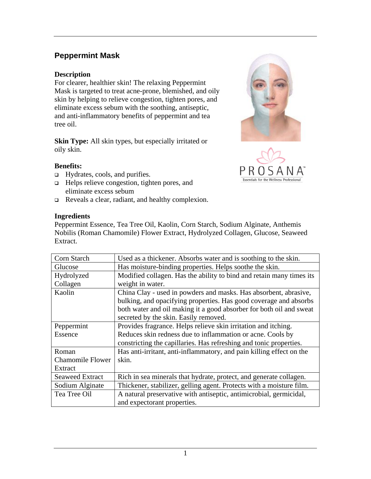# **Peppermint Mask**

#### **Description**

For clearer, healthier skin! The relaxing Peppermint Mask is targeted to treat acne-prone, blemished, and oily skin by helping to relieve congestion, tighten pores, and eliminate excess sebum with the soothing, antiseptic, and anti-inflammatory benefits of peppermint and tea tree oil.

**Skin Type:** All skin types, but especially irritated or oily skin.

## **Benefits:**

- □ Hydrates, cools, and purifies.
- Helps relieve congestion, tighten pores, and eliminate excess sebum
- Reveals a clear, radiant, and healthy complexion.





### **Ingredients**

Peppermint Essence, Tea Tree Oil, Kaolin, Corn Starch, Sodium Alginate, Anthemis Nobilis (Roman Chamomile) Flower Extract, Hydrolyzed Collagen, Glucose, Seaweed Extract.

| Corn Starch             | Used as a thickener. Absorbs water and is soothing to the skin.      |
|-------------------------|----------------------------------------------------------------------|
| Glucose                 | Has moisture-binding properties. Helps soothe the skin.              |
| Hydrolyzed              | Modified collagen. Has the ability to bind and retain many times its |
| Collagen                | weight in water.                                                     |
| Kaolin                  | China Clay - used in powders and masks. Has absorbent, abrasive,     |
|                         | bulking, and opacifying properties. Has good coverage and absorbs    |
|                         | both water and oil making it a good absorber for both oil and sweat  |
|                         | secreted by the skin. Easily removed.                                |
| Peppermint              | Provides fragrance. Helps relieve skin irritation and itching.       |
| Essence                 | Reduces skin redness due to inflammation or acne. Cools by           |
|                         | constricting the capillaries. Has refreshing and tonic properties.   |
| Roman                   | Has anti-irritant, anti-inflammatory, and pain killing effect on the |
| <b>Chamomile Flower</b> | skin.                                                                |
| Extract                 |                                                                      |
| <b>Seaweed Extract</b>  | Rich in sea minerals that hydrate, protect, and generate collagen.   |
| Sodium Alginate         | Thickener, stabilizer, gelling agent. Protects with a moisture film. |
| Tea Tree Oil            | A natural preservative with antiseptic, antimicrobial, germicidal,   |
|                         | and expectorant properties.                                          |